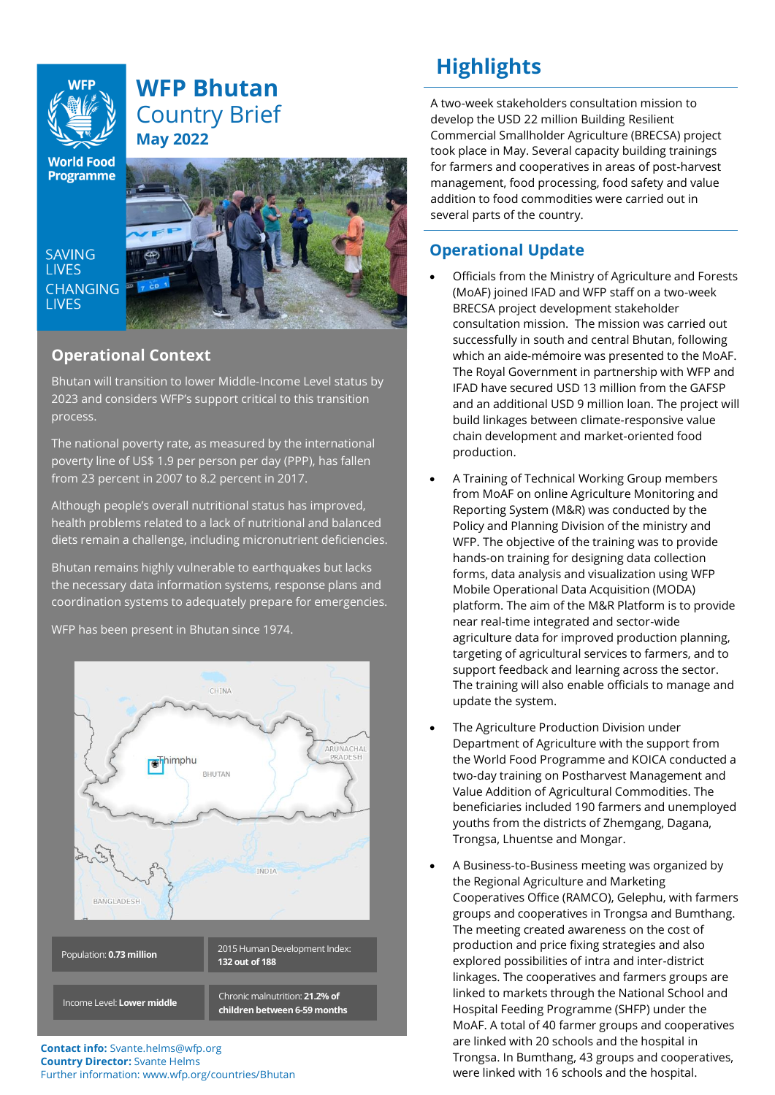# **WFP Bhutan** Country Brief **May 2022**

**World Food Programme** 

**SAVING LIVES CHANGING LIVES** 



# **Operational Context**

Bhutan will transition to lower Middle-Income Level status by 2023 and considers WFP's support critical to this transition process.

The national poverty rate, as measured by the international poverty line of US\$ 1.9 per person per day (PPP), has fallen from 23 percent in 2007 to 8.2 percent in 2017.

Although people's overall nutritional status has improved, health problems related to a lack of nutritional and balanced diets remain a challenge, including micronutrient deficiencies.

Bhutan remains highly vulnerable to earthquakes but lacks the necessary data information systems, response plans and coordination systems to adequately prepare for emergencies.

WFP has been present in Bhutan since 1974.



**Contact info:** Svante.helms@wfp.org **Country Director:** Svante Helms Further information: www.wfp.org/countries/Bhutan

# **Highlights**

A two-week stakeholders consultation mission to develop the USD 22 million Building Resilient Commercial Smallholder Agriculture (BRECSA) project took place in May. Several capacity building trainings for farmers and cooperatives in areas of post-harvest management, food processing, food safety and value addition to food commodities were carried out in several parts of the country.

# **Operational Update**

- Officials from the Ministry of Agriculture and Forests (MoAF) joined IFAD and WFP staff on a two-week BRECSA project development stakeholder consultation mission. The mission was carried out successfully in south and central Bhutan, following which an aide-mémoire was presented to the MoAF. The Royal Government in partnership with WFP and IFAD have secured USD 13 million from the GAFSP and an additional USD 9 million loan. The project will build linkages between climate-responsive value chain development and market-oriented food production.
- A Training of Technical Working Group members from MoAF on online Agriculture Monitoring and Reporting System (M&R) was conducted by the Policy and Planning Division of the ministry and WFP. The objective of the training was to provide hands-on training for designing data collection forms, data analysis and visualization using WFP Mobile Operational Data Acquisition (MODA) platform. The aim of the M&R Platform is to provide near real-time integrated and sector-wide agriculture data for improved production planning, targeting of agricultural services to farmers, and to support feedback and learning across the sector. The training will also enable officials to manage and update the system.
- The Agriculture Production Division under Department of Agriculture with the support from the World Food Programme and KOICA conducted a two-day training on Postharvest Management and Value Addition of Agricultural Commodities. The beneficiaries included 190 farmers and unemployed youths from the districts of Zhemgang, Dagana, Trongsa, Lhuentse and Mongar.
- A Business-to-Business meeting was organized by the Regional Agriculture and Marketing Cooperatives Office (RAMCO), Gelephu, with farmers groups and cooperatives in Trongsa and Bumthang. The meeting created awareness on the cost of production and price fixing strategies and also explored possibilities of intra and inter-district linkages. The cooperatives and farmers groups are linked to markets through the National School and Hospital Feeding Programme (SHFP) under the MoAF. A total of 40 farmer groups and cooperatives are linked with 20 schools and the hospital in Trongsa. In Bumthang, 43 groups and cooperatives, were linked with 16 schools and the hospital.